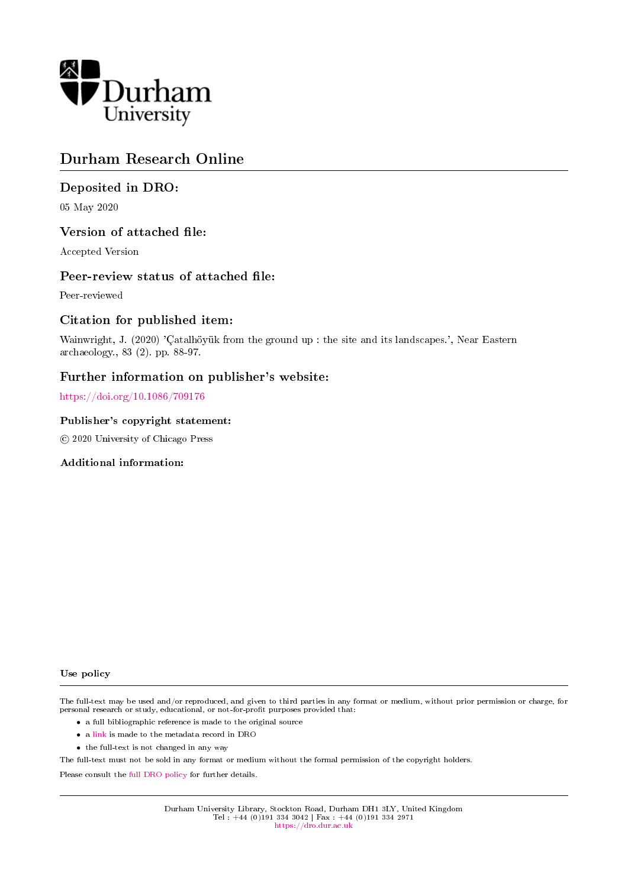

# Durham Research Online

# Deposited in DRO:

05 May 2020

# Version of attached file:

Accepted Version

# Peer-review status of attached file:

Peer-reviewed

# Citation for published item:

Wainwright, J. (2020) 'Catalhöyük from the ground up : the site and its landscapes.', Near Eastern archaeology., 83 (2). pp. 88-97.

# Further information on publisher's website:

<https://doi.org/10.1086/709176>

# Publisher's copyright statement:

c 2020 University of Chicago Press

# Additional information:

#### Use policy

The full-text may be used and/or reproduced, and given to third parties in any format or medium, without prior permission or charge, for personal research or study, educational, or not-for-profit purposes provided that:

- a full bibliographic reference is made to the original source
- a [link](http://dro.dur.ac.uk/30753/) is made to the metadata record in DRO
- the full-text is not changed in any way

The full-text must not be sold in any format or medium without the formal permission of the copyright holders.

Please consult the [full DRO policy](https://dro.dur.ac.uk/policies/usepolicy.pdf) for further details.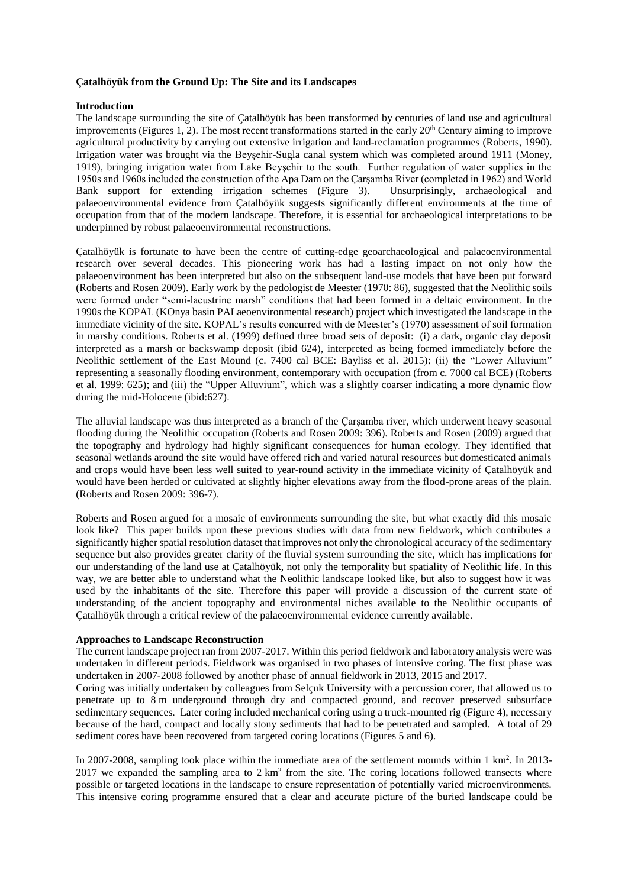## **Çatalhöyük from the Ground Up: The Site and its Landscapes**

### **Introduction**

The landscape surrounding the site of Çatalhöyük has been transformed by centuries of land use and agricultural improvements (Figures 1, 2). The most recent transformations started in the early 20<sup>th</sup> Century aiming to improve agricultural productivity by carrying out extensive irrigation and land-reclamation programmes (Roberts, 1990). Irrigation water was brought via the Beyşehir-Sugla canal system which was completed around 1911 (Money, 1919), bringing irrigation water from Lake Beyşehir to the south. Further regulation of water supplies in the 1950s and 1960s included the construction of the Apa Dam on the Çarşamba River (completed in 1962) and World Bank support for extending irrigation schemes (Figure 3). Unsurprisingly, archaeological and palaeoenvironmental evidence from Çatalhöyük suggests significantly different environments at the time of occupation from that of the modern landscape. Therefore, it is essential for archaeological interpretations to be underpinned by robust palaeoenvironmental reconstructions.

Çatalhöyük is fortunate to have been the centre of cutting-edge geoarchaeological and palaeoenvironmental research over several decades. This pioneering work has had a lasting impact on not only how the palaeoenvironment has been interpreted but also on the subsequent land-use models that have been put forward (Roberts and Rosen 2009). Early work by the pedologist de Meester (1970: 86), suggested that the Neolithic soils were formed under "semi-lacustrine marsh" conditions that had been formed in a deltaic environment. In the 1990s the KOPAL (KOnya basin PALaeoenvironmental research) project which investigated the landscape in the immediate vicinity of the site. KOPAL's results concurred with de Meester's (1970) assessment of soil formation in marshy conditions. Roberts et al. (1999) defined three broad sets of deposit: (i) a dark, organic clay deposit interpreted as a marsh or backswamp deposit (ibid 624), interpreted as being formed immediately before the Neolithic settlement of the East Mound (c. 7400 cal BCE: Bayliss et al. 2015); (ii) the "Lower Alluvium" representing a seasonally flooding environment, contemporary with occupation (from c. 7000 cal BCE) (Roberts et al. 1999: 625); and (iii) the "Upper Alluvium", which was a slightly coarser indicating a more dynamic flow during the mid-Holocene (ibid:627).

The alluvial landscape was thus interpreted as a branch of the Çarşamba river, which underwent heavy seasonal flooding during the Neolithic occupation (Roberts and Rosen 2009: 396). Roberts and Rosen (2009) argued that the topography and hydrology had highly significant consequences for human ecology. They identified that seasonal wetlands around the site would have offered rich and varied natural resources but domesticated animals and crops would have been less well suited to year-round activity in the immediate vicinity of Çatalhöyük and would have been herded or cultivated at slightly higher elevations away from the flood-prone areas of the plain. (Roberts and Rosen 2009: 396-7).

Roberts and Rosen argued for a mosaic of environments surrounding the site, but what exactly did this mosaic look like? This paper builds upon these previous studies with data from new fieldwork, which contributes a significantly higher spatial resolution dataset that improves not only the chronological accuracy of the sedimentary sequence but also provides greater clarity of the fluvial system surrounding the site, which has implications for our understanding of the land use at Çatalhöyük, not only the temporality but spatiality of Neolithic life. In this way, we are better able to understand what the Neolithic landscape looked like, but also to suggest how it was used by the inhabitants of the site. Therefore this paper will provide a discussion of the current state of understanding of the ancient topography and environmental niches available to the Neolithic occupants of Çatalhöyük through a critical review of the palaeoenvironmental evidence currently available.

### **Approaches to Landscape Reconstruction**

The current landscape project ran from 2007-2017. Within this period fieldwork and laboratory analysis were was undertaken in different periods. Fieldwork was organised in two phases of intensive coring. The first phase was undertaken in 2007-2008 followed by another phase of annual fieldwork in 2013, 2015 and 2017.

Coring was initially undertaken by colleagues from Selçuk University with a percussion corer, that allowed us to penetrate up to 8 m underground through dry and compacted ground, and recover preserved subsurface sedimentary sequences. Later coring included mechanical coring using a truck-mounted rig (Figure 4), necessary because of the hard, compact and locally stony sediments that had to be penetrated and sampled. A total of 29 sediment cores have been recovered from targeted coring locations (Figures 5 and 6).

In 2007-2008, sampling took place within the immediate area of the settlement mounds within 1 km<sup>2</sup> . In 2013- 2017 we expanded the sampling area to  $2 \text{ km}^2$  from the site. The coring locations followed transects where possible or targeted locations in the landscape to ensure representation of potentially varied microenvironments. This intensive coring programme ensured that a clear and accurate picture of the buried landscape could be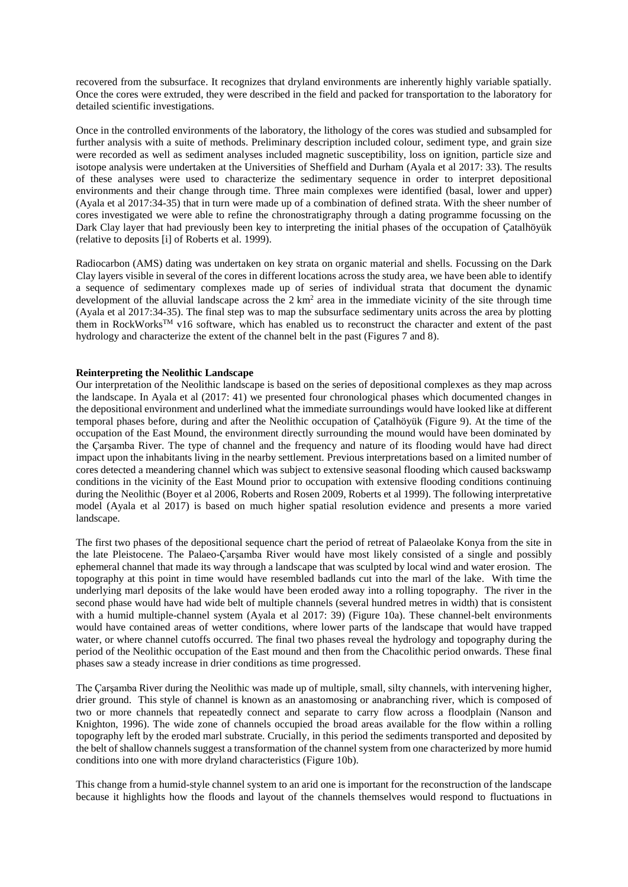recovered from the subsurface. It recognizes that dryland environments are inherently highly variable spatially. Once the cores were extruded, they were described in the field and packed for transportation to the laboratory for detailed scientific investigations.

Once in the controlled environments of the laboratory, the lithology of the cores was studied and subsampled for further analysis with a suite of methods. Preliminary description included colour, sediment type, and grain size were recorded as well as sediment analyses included magnetic susceptibility, loss on ignition, particle size and isotope analysis were undertaken at the Universities of Sheffield and Durham (Ayala et al 2017: 33). The results of these analyses were used to characterize the sedimentary sequence in order to interpret depositional environments and their change through time. Three main complexes were identified (basal, lower and upper) (Ayala et al 2017:34-35) that in turn were made up of a combination of defined strata. With the sheer number of cores investigated we were able to refine the chronostratigraphy through a dating programme focussing on the Dark Clay layer that had previously been key to interpreting the initial phases of the occupation of Çatalhöyük (relative to deposits [i] of Roberts et al. 1999).

Radiocarbon (AMS) dating was undertaken on key strata on organic material and shells. Focussing on the Dark Clay layers visible in several of the cores in different locations across the study area, we have been able to identify a sequence of sedimentary complexes made up of series of individual strata that document the dynamic development of the alluvial landscape across the  $2 \text{ km}^2$  area in the immediate vicinity of the site through time (Ayala et al 2017:34-35). The final step was to map the subsurface sedimentary units across the area by plotting them in RockWorksTM v16 software, which has enabled us to reconstruct the character and extent of the past hydrology and characterize the extent of the channel belt in the past (Figures 7 and 8).

### **Reinterpreting the Neolithic Landscape**

Our interpretation of the Neolithic landscape is based on the series of depositional complexes as they map across the landscape. In Ayala et al (2017: 41) we presented four chronological phases which documented changes in the depositional environment and underlined what the immediate surroundings would have looked like at different temporal phases before, during and after the Neolithic occupation of Çatalhöyük (Figure 9). At the time of the occupation of the East Mound, the environment directly surrounding the mound would have been dominated by the Çarşamba River. The type of channel and the frequency and nature of its flooding would have had direct impact upon the inhabitants living in the nearby settlement. Previous interpretations based on a limited number of cores detected a meandering channel which was subject to extensive seasonal flooding which caused backswamp conditions in the vicinity of the East Mound prior to occupation with extensive flooding conditions continuing during the Neolithic (Boyer et al 2006, Roberts and Rosen 2009, Roberts et al 1999). The following interpretative model (Ayala et al 2017) is based on much higher spatial resolution evidence and presents a more varied landscape.

The first two phases of the depositional sequence chart the period of retreat of Palaeolake Konya from the site in the late Pleistocene. The Palaeo-Çarşamba River would have most likely consisted of a single and possibly ephemeral channel that made its way through a landscape that was sculpted by local wind and water erosion. The topography at this point in time would have resembled badlands cut into the marl of the lake. With time the underlying marl deposits of the lake would have been eroded away into a rolling topography. The river in the second phase would have had wide belt of multiple channels (several hundred metres in width) that is consistent with a humid multiple-channel system (Ayala et al 2017: 39) (Figure 10a). These channel-belt environments would have contained areas of wetter conditions, where lower parts of the landscape that would have trapped water, or where channel cutoffs occurred. The final two phases reveal the hydrology and topography during the period of the Neolithic occupation of the East mound and then from the Chacolithic period onwards. These final phases saw a steady increase in drier conditions as time progressed.

The Çarşamba River during the Neolithic was made up of multiple, small, silty channels, with intervening higher, drier ground. This style of channel is known as an anastomosing or anabranching river, which is composed of two or more channels that repeatedly connect and separate to carry flow across a floodplain (Nanson and Knighton, 1996). The wide zone of channels occupied the broad areas available for the flow within a rolling topography left by the eroded marl substrate. Crucially, in this period the sediments transported and deposited by the belt of shallow channels suggest a transformation of the channel system from one characterized by more humid conditions into one with more dryland characteristics (Figure 10b).

This change from a humid-style channel system to an arid one is important for the reconstruction of the landscape because it highlights how the floods and layout of the channels themselves would respond to fluctuations in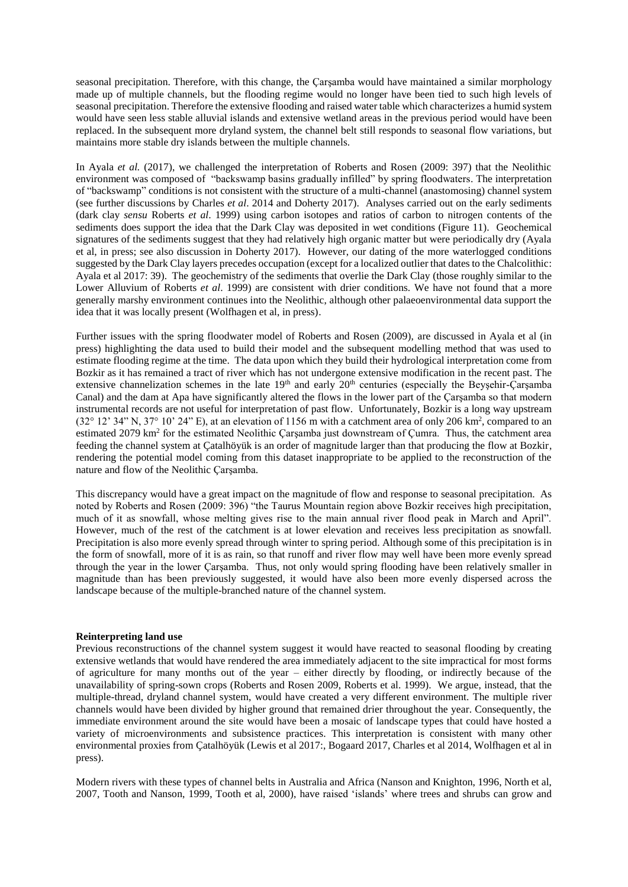seasonal precipitation. Therefore, with this change, the Çarşamba would have maintained a similar morphology made up of multiple channels, but the flooding regime would no longer have been tied to such high levels of seasonal precipitation. Therefore the extensive flooding and raised water table which characterizes a humid system would have seen less stable alluvial islands and extensive wetland areas in the previous period would have been replaced. In the subsequent more dryland system, the channel belt still responds to seasonal flow variations, but maintains more stable dry islands between the multiple channels.

In Ayala *et al.* (2017), we challenged the interpretation of Roberts and Rosen (2009: 397) that the Neolithic environment was composed of "backswamp basins gradually infilled" by spring floodwaters. The interpretation of "backswamp" conditions is not consistent with the structure of a multi-channel (anastomosing) channel system (see further discussions by Charles *et al*. 2014 and Doherty 2017). Analyses carried out on the early sediments (dark clay *sensu* Roberts *et al*. 1999) using carbon isotopes and ratios of carbon to nitrogen contents of the sediments does support the idea that the Dark Clay was deposited in wet conditions (Figure 11). Geochemical signatures of the sediments suggest that they had relatively high organic matter but were periodically dry (Ayala et al, in press; see also discussion in Doherty 2017). However, our dating of the more waterlogged conditions suggested by the Dark Clay layers precedes occupation (except for a localized outlier that dates to the Chalcolithic: Ayala et al 2017: 39). The geochemistry of the sediments that overlie the Dark Clay (those roughly similar to the Lower Alluvium of Roberts *et al*. 1999) are consistent with drier conditions. We have not found that a more generally marshy environment continues into the Neolithic, although other palaeoenvironmental data support the idea that it was locally present (Wolfhagen et al, in press).

Further issues with the spring floodwater model of Roberts and Rosen (2009), are discussed in Ayala et al (in press) highlighting the data used to build their model and the subsequent modelling method that was used to estimate flooding regime at the time. The data upon which they build their hydrological interpretation come from Bozkir as it has remained a tract of river which has not undergone extensive modification in the recent past. The extensive channelization schemes in the late 19<sup>th</sup> and early 20<sup>th</sup> centuries (especially the Beyşehir-Çarşamba Canal) and the dam at Apa have significantly altered the flows in the lower part of the Çarşamba so that modern instrumental records are not useful for interpretation of past flow. Unfortunately, Bozkir is a long way upstream  $(32^{\circ} 12' 34'' N, 37^{\circ} 10' 24'' E)$ , at an elevation of 1156 m with a catchment area of only 206 km<sup>2</sup>, compared to an estimated 2079 km<sup>2</sup> for the estimated Neolithic Çarşamba just downstream of Çumra. Thus, the catchment area feeding the channel system at Çatalhöyük is an order of magnitude larger than that producing the flow at Bozkir, rendering the potential model coming from this dataset inappropriate to be applied to the reconstruction of the nature and flow of the Neolithic Çarşamba.

This discrepancy would have a great impact on the magnitude of flow and response to seasonal precipitation. As noted by Roberts and Rosen (2009: 396) "the Taurus Mountain region above Bozkir receives high precipitation, much of it as snowfall, whose melting gives rise to the main annual river flood peak in March and April". However, much of the rest of the catchment is at lower elevation and receives less precipitation as snowfall. Precipitation is also more evenly spread through winter to spring period. Although some of this precipitation is in the form of snowfall, more of it is as rain, so that runoff and river flow may well have been more evenly spread through the year in the lower Çarşamba. Thus, not only would spring flooding have been relatively smaller in magnitude than has been previously suggested, it would have also been more evenly dispersed across the landscape because of the multiple-branched nature of the channel system.

#### **Reinterpreting land use**

Previous reconstructions of the channel system suggest it would have reacted to seasonal flooding by creating extensive wetlands that would have rendered the area immediately adjacent to the site impractical for most forms of agriculture for many months out of the year – either directly by flooding, or indirectly because of the unavailability of spring-sown crops (Roberts and Rosen 2009, Roberts et al. 1999). We argue, instead, that the multiple-thread, dryland channel system, would have created a very different environment. The multiple river channels would have been divided by higher ground that remained drier throughout the year. Consequently, the immediate environment around the site would have been a mosaic of landscape types that could have hosted a variety of microenvironments and subsistence practices. This interpretation is consistent with many other environmental proxies from Çatalhöyük (Lewis et al 2017:, Bogaard 2017, Charles et al 2014, Wolfhagen et al in press).

Modern rivers with these types of channel belts in Australia and Africa (Nanson and Knighton, 1996, North et al, 2007, Tooth and Nanson, 1999, Tooth et al, 2000), have raised 'islands' where trees and shrubs can grow and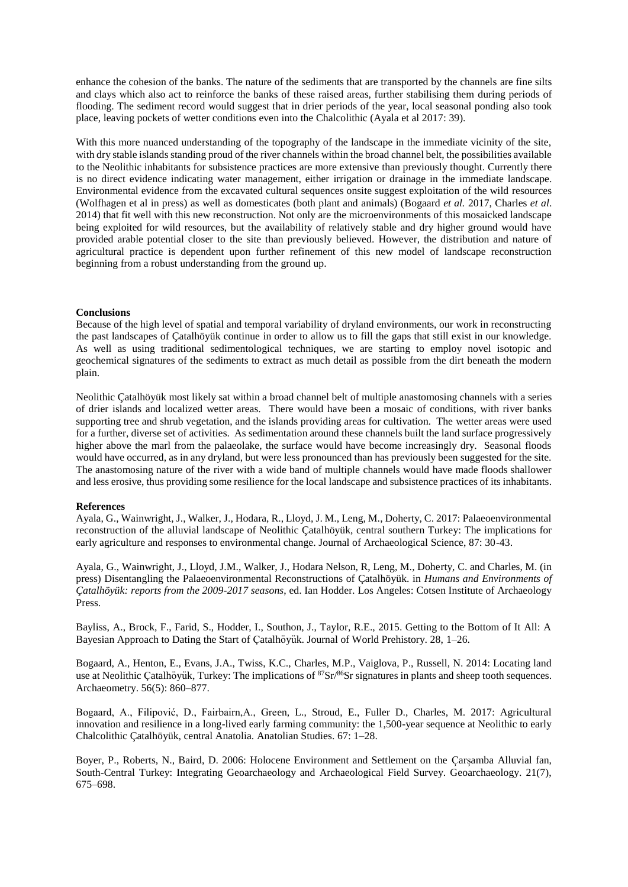enhance the cohesion of the banks. The nature of the sediments that are transported by the channels are fine silts and clays which also act to reinforce the banks of these raised areas, further stabilising them during periods of flooding. The sediment record would suggest that in drier periods of the year, local seasonal ponding also took place, leaving pockets of wetter conditions even into the Chalcolithic (Ayala et al 2017: 39).

With this more nuanced understanding of the topography of the landscape in the immediate vicinity of the site, with dry stable islands standing proud of the river channels within the broad channel belt, the possibilities available to the Neolithic inhabitants for subsistence practices are more extensive than previously thought. Currently there is no direct evidence indicating water management, either irrigation or drainage in the immediate landscape. Environmental evidence from the excavated cultural sequences onsite suggest exploitation of the wild resources (Wolfhagen et al in press) as well as domesticates (both plant and animals) (Bogaard *et al.* 2017, Charles *et al*. 2014) that fit well with this new reconstruction. Not only are the microenvironments of this mosaicked landscape being exploited for wild resources, but the availability of relatively stable and dry higher ground would have provided arable potential closer to the site than previously believed. However, the distribution and nature of agricultural practice is dependent upon further refinement of this new model of landscape reconstruction beginning from a robust understanding from the ground up.

### **Conclusions**

Because of the high level of spatial and temporal variability of dryland environments, our work in reconstructing the past landscapes of Çatalhöyük continue in order to allow us to fill the gaps that still exist in our knowledge. As well as using traditional sedimentological techniques, we are starting to employ novel isotopic and geochemical signatures of the sediments to extract as much detail as possible from the dirt beneath the modern plain.

Neolithic Çatalhöyük most likely sat within a broad channel belt of multiple anastomosing channels with a series of drier islands and localized wetter areas. There would have been a mosaic of conditions, with river banks supporting tree and shrub vegetation, and the islands providing areas for cultivation. The wetter areas were used for a further, diverse set of activities. As sedimentation around these channels built the land surface progressively higher above the marl from the palaeolake, the surface would have become increasingly dry. Seasonal floods would have occurred, as in any dryland, but were less pronounced than has previously been suggested for the site. The anastomosing nature of the river with a wide band of multiple channels would have made floods shallower and less erosive, thus providing some resilience for the local landscape and subsistence practices of its inhabitants.

### **References**

Ayala, G., Wainwright, J., Walker, J., Hodara, R., Lloyd, J. M., Leng, M., Doherty, C. 2017: Palaeoenvironmental reconstruction of the alluvial landscape of Neolithic Çatalhöyük, central southern Turkey: The implications for early agriculture and responses to environmental change. Journal of Archaeological Science, 87: 30-43.

Ayala, G., Wainwright, J., Lloyd, J.M., Walker, J., Hodara Nelson, R, Leng, M., Doherty, C. and Charles, M. (in press) Disentangling the Palaeoenvironmental Reconstructions of Çatalhöyük. in *Humans and Environments of Çatalhöyük: reports from the 2009-2017 seasons*, ed. Ian Hodder*.* Los Angeles: Cotsen Institute of Archaeology Press.

Bayliss, A., Brock, F., Farid, S., Hodder, I., Southon, J., Taylor, R.E., 2015. Getting to the Bottom of It All: A Bayesian Approach to Dating the Start of Çatalhöyük. Journal of World Prehistory. 28, 1-26.

Bogaard, A., Henton, E., Evans, J.A., Twiss, K.C., Charles, M.P., Vaiglova, P., Russell, N. 2014: Locating land use at Neolithic Catalhöyük, Turkey: The implications of  $87Sr/86Sr$  signatures in plants and sheep tooth sequences. Archaeometry. 56(5): 860–877.

Bogaard, A., Filipović, D., Fairbairn,A., Green, L., Stroud, E., Fuller D., Charles, M. 2017: Agricultural innovation and resilience in a long-lived early farming community: the 1,500-year sequence at Neolithic to early Chalcolithic Çatalhöyük, central Anatolia. Anatolian Studies. 67: 1–28.

Boyer, P., Roberts, N., Baird, D. 2006: Holocene Environment and Settlement on the Carsamba Alluvial fan, South-Central Turkey: Integrating Geoarchaeology and Archaeological Field Survey. Geoarchaeology. 21(7), 675–698.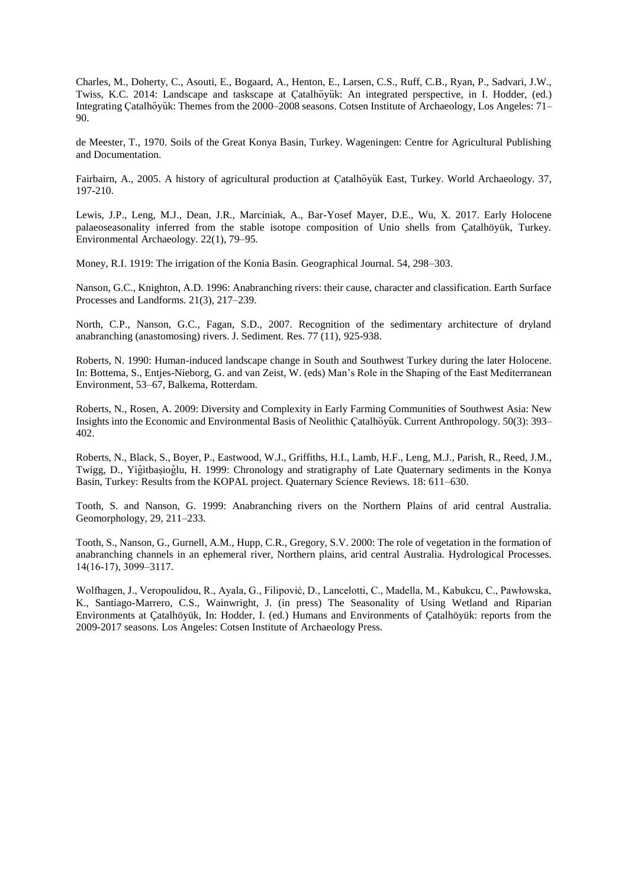Charles, M., Doherty, C., Asouti, E., Bogaard, A., Henton, E., Larsen, C.S., Ruff, C.B., Ryan, P., Sadvari, J.W., Twiss, K.C. 2014: Landscape and taskscape at Catalhöyük: An integrated perspective, in I. Hodder, (ed.) Integrating Catalhöyük: Themes from the 2000–2008 seasons. Cotsen Institute of Archaeology, Los Angeles: 71– 90.

de Meester, T., 1970. Soils of the Great Konya Basin, Turkey. Wageningen: Centre for Agricultural Publishing and Documentation.

Fairbairn, A., 2005. A history of agricultural production at Çatalhöyük East, Turkey. World Archaeology. 37, 197-210.

Lewis, J.P., Leng, M.J., Dean, J.R., Marciniak, A., Bar-Yosef Mayer, D.E., Wu, X. 2017. Early Holocene palaeoseasonality inferred from the stable isotope composition of Unio shells from Çatalhöyük, Turkey. Environmental Archaeology. 22(1), 79–95.

Money, R.I. 1919: The irrigation of the Konia Basin. Geographical Journal. 54, 298–303.

Nanson, G.C., Knighton, A.D. 1996: Anabranching rivers: their cause, character and classification. Earth Surface Processes and Landforms. 21(3), 217–239.

North, C.P., Nanson, G.C., Fagan, S.D., 2007. Recognition of the sedimentary architecture of dryland anabranching (anastomosing) rivers. J. Sediment. Res. 77 (11), 925-938.

Roberts, N. 1990: Human-induced landscape change in South and Southwest Turkey during the later Holocene. In: Bottema, S., Entjes-Nieborg, G. and van Zeist, W. (eds) Man's Role in the Shaping of the East Mediterranean Environment, 53–67, Balkema, Rotterdam.

Roberts, N., Rosen, A. 2009: Diversity and Complexity in Early Farming Communities of Southwest Asia: New Insights into the Economic and Environmental Basis of Neolithic Catalhöyük. Current Anthropology. 50(3): 393– 402.

Roberts, N., Black, S., Boyer, P., Eastwood, W.J., Griffiths, H.I., Lamb, H.F., Leng, M.J., Parish, R., Reed, J.M., Twigg, D., Yiğitbasioğlu, H. 1999: Chronology and stratigraphy of Late Quaternary sediments in the Konya Basin, Turkey: Results from the KOPAL project. Quaternary Science Reviews. 18: 611–630.

Tooth, S. and Nanson, G. 1999: Anabranching rivers on the Northern Plains of arid central Australia. Geomorphology, 29, 211–233.

Tooth, S., Nanson, G., Gurnell, A.M., Hupp, C.R., Gregory, S.V. 2000: The role of vegetation in the formation of anabranching channels in an ephemeral river, Northern plains, arid central Australia. Hydrological Processes. 14(16‐17), 3099–3117.

Wolfhagen, J., Veropoulidou, R., Ayala, G., Filipović, D., Lancelotti, C., Madella, M., Kabukcu, C., Pawłowska, K., Santiago-Marrero, C.S., Wainwright, J. (in press) The Seasonality of Using Wetland and Riparian Environments at Çatalhöyük, In: Hodder, I. (ed.) Humans and Environments of Çatalhöyük: reports from the 2009-2017 seasons. Los Angeles: Cotsen Institute of Archaeology Press.